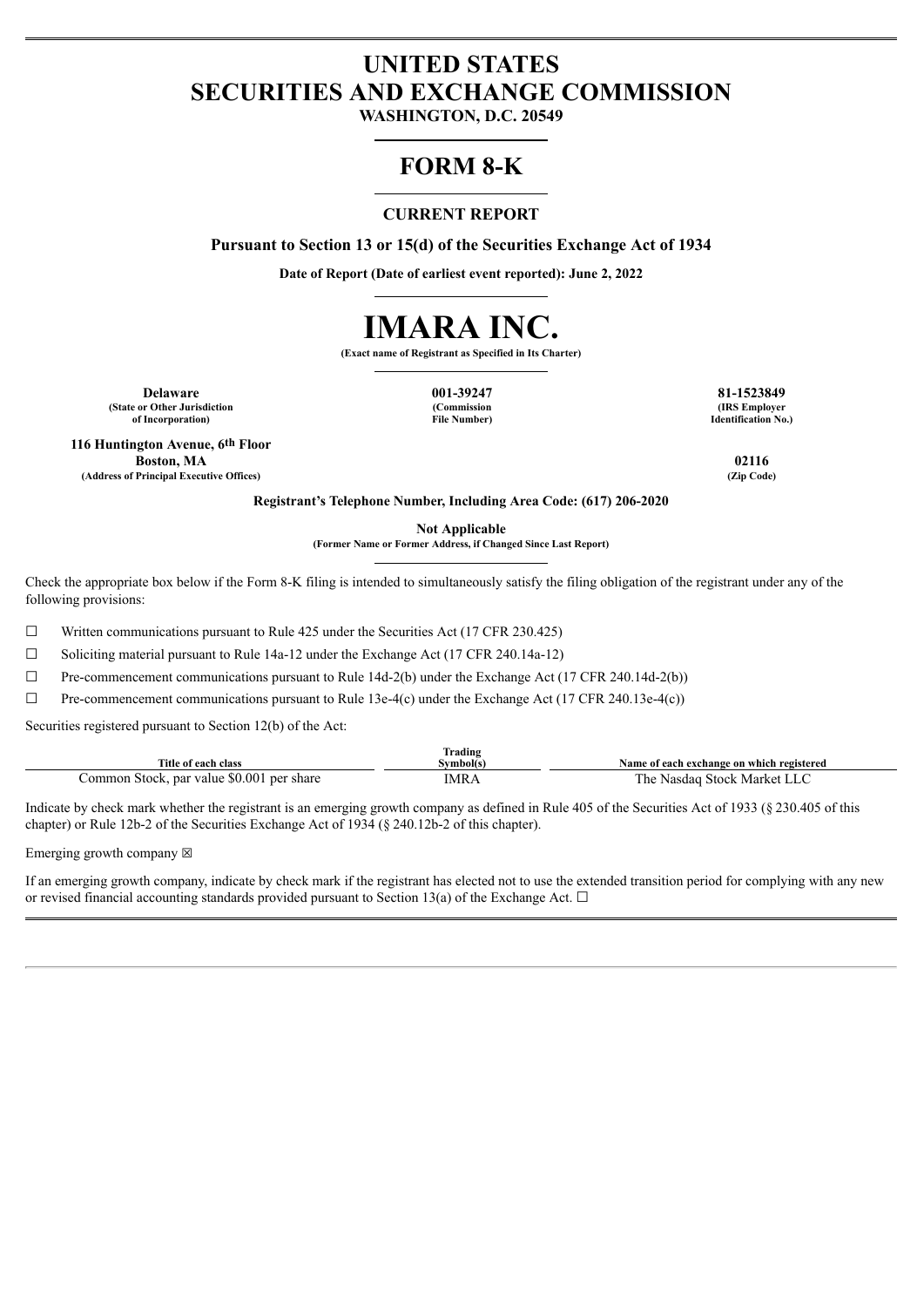# **UNITED STATES SECURITIES AND EXCHANGE COMMISSION**

**WASHINGTON, D.C. 20549**

## **FORM 8-K**

## **CURRENT REPORT**

**Pursuant to Section 13 or 15(d) of the Securities Exchange Act of 1934**

**Date of Report (Date of earliest event reported): June 2, 2022**



**(Exact name of Registrant as Specified in Its Charter)**

**Delaware 001-39247 81-1523849 (State or Other Jurisdiction of Incorporation)**

**(Commission File Number)**

**(IRS Employer Identification No.)**

**116 Huntington Avenue, 6th Floor Boston, MA 02116 (Address of Principal Executive Offices) (Zip Code)**

**Registrant's Telephone Number, Including Area Code: (617) 206-2020**

**Not Applicable**

**(Former Name or Former Address, if Changed Since Last Report)**

Check the appropriate box below if the Form 8-K filing is intended to simultaneously satisfy the filing obligation of the registrant under any of the following provisions:

☐ Written communications pursuant to Rule 425 under the Securities Act (17 CFR 230.425)

☐ Soliciting material pursuant to Rule 14a-12 under the Exchange Act (17 CFR 240.14a-12)

☐ Pre-commencement communications pursuant to Rule 14d-2(b) under the Exchange Act (17 CFR 240.14d-2(b))

 $\Box$  Pre-commencement communications pursuant to Rule 13e-4(c) under the Exchange Act (17 CFR 240.13e-4(c))

Securities registered pursuant to Section 12(b) of the Act:

| Title of each class                       | $\sim$<br>Frading<br>Svmbol(s) | Name of each exchange on which registered |
|-------------------------------------------|--------------------------------|-------------------------------------------|
| Common Stock, par value \$0.001 per share | IMRA                           | The Nasdag Stock Market LLC               |

Indicate by check mark whether the registrant is an emerging growth company as defined in Rule 405 of the Securities Act of 1933 (§ 230.405 of this chapter) or Rule 12b-2 of the Securities Exchange Act of 1934 (§ 240.12b-2 of this chapter).

Emerging growth company  $\boxtimes$ 

If an emerging growth company, indicate by check mark if the registrant has elected not to use the extended transition period for complying with any new or revised financial accounting standards provided pursuant to Section 13(a) of the Exchange Act.  $\Box$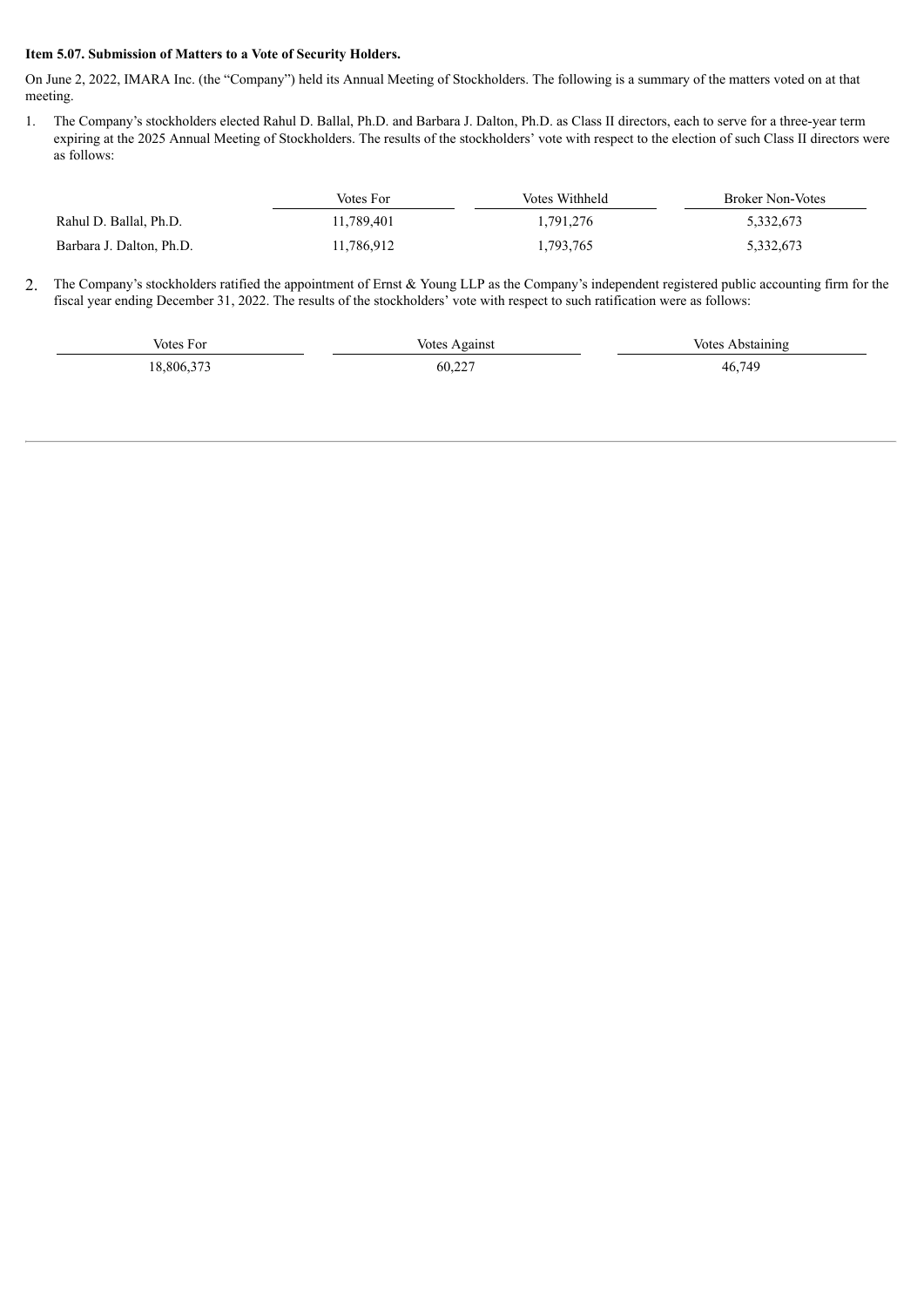### **Item 5.07. Submission of Matters to a Vote of Security Holders.**

On June 2, 2022, IMARA Inc. (the "Company") held its Annual Meeting of Stockholders. The following is a summary of the matters voted on at that meeting.

1. The Company's stockholders elected Rahul D. Ballal, Ph.D. and Barbara J. Dalton, Ph.D. as Class II directors, each to serve for a three-year term expiring at the 2025 Annual Meeting of Stockholders. The results of the stockholders' vote with respect to the election of such Class II directors were as follows:

|                          | Votes For  | Votes Withheld | Broker Non-Votes |
|--------------------------|------------|----------------|------------------|
| Rahul D. Ballal, Ph.D.   | 11.789.401 | 1,791,276      | 5,332,673        |
| Barbara J. Dalton, Ph.D. | 11,786,912 | 1,793,765      | 5,332,673        |

2. The Company's stockholders ratified the appointment of Ernst & Young LLP as the Company's independent registered public accounting firm for the fiscal year ending December 31, 2022. The results of the stockholders' vote with respect to such ratification were as follows:

| Votes For | Votes Against | Votes Abstaining |
|-----------|---------------|------------------|
| 8.806.373 | 60,227        | 46,749           |